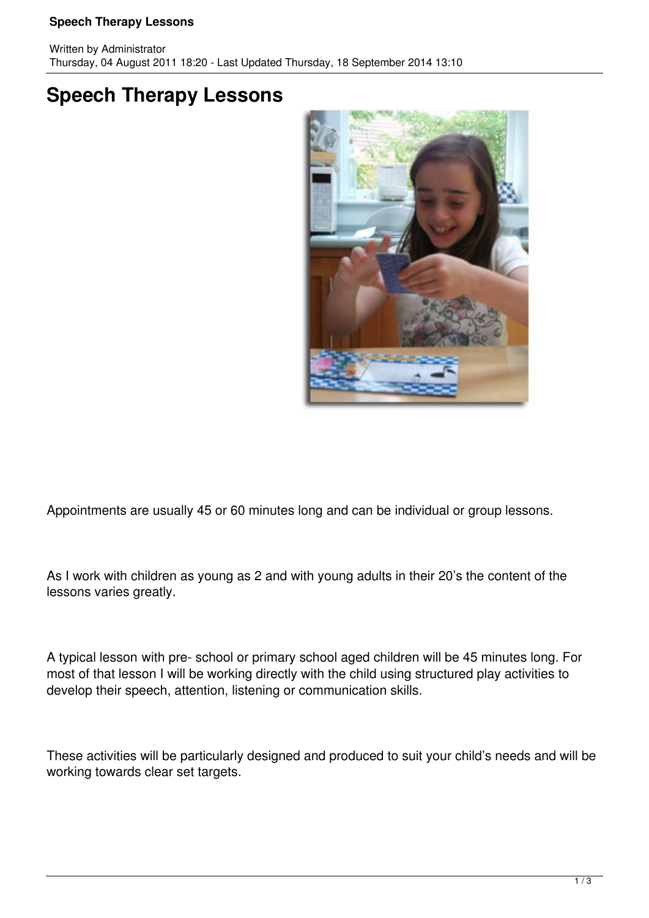## **Speech Therapy Lessons**

## **Speech Therapy Lessons**



Appointments are usually 45 or 60 minutes long and can be individual or group lessons.

As I work with children as young as 2 and with young adults in their 20's the content of the lessons varies greatly.

A typical lesson with pre- school or primary school aged children will be 45 minutes long. For most of that lesson I will be working directly with the child using structured play activities to develop their speech, attention, listening or communication skills.

These activities will be particularly designed and produced to suit your child's needs and will be working towards clear set targets.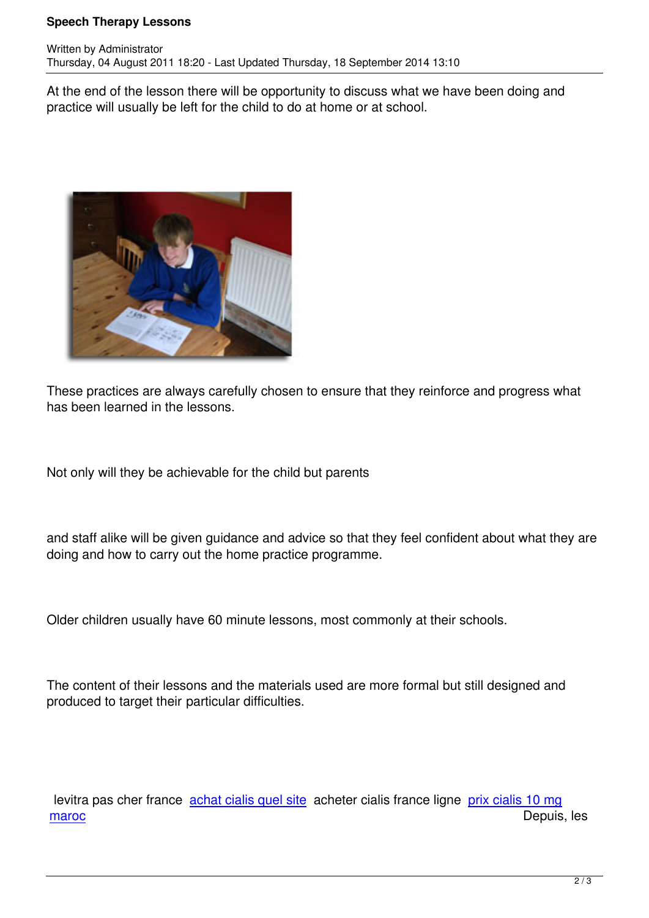At the end of the lesson there will be opportunity to discuss what we have been doing and practice will usually be left for the child to do at home or at school.



Written by Administrator and Administrator and Administrator and Administrator and Administrator and Administrator and Administrator and Administrator and Administrator and Administrator and Administrator and Administrator

These practices are always carefully chosen to ensure that they reinforce and progress what has been learned in the lessons.

Not only will they be achievable for the child but parents

and staff alike will be given guidance and advice so that they feel confident about what they are doing and how to carry out the home practice programme.

Older children usually have 60 minute lessons, most commonly at their schools.

The content of their lessons and the materials used are more formal but still designed and produced to target their particular difficulties.

 levitra pas cher france achat cialis quel site acheter cialis france ligne prix cialis 10 mg maroc de la contrattura de la contrattura de la contrattura de la contrattura de Depuis, les